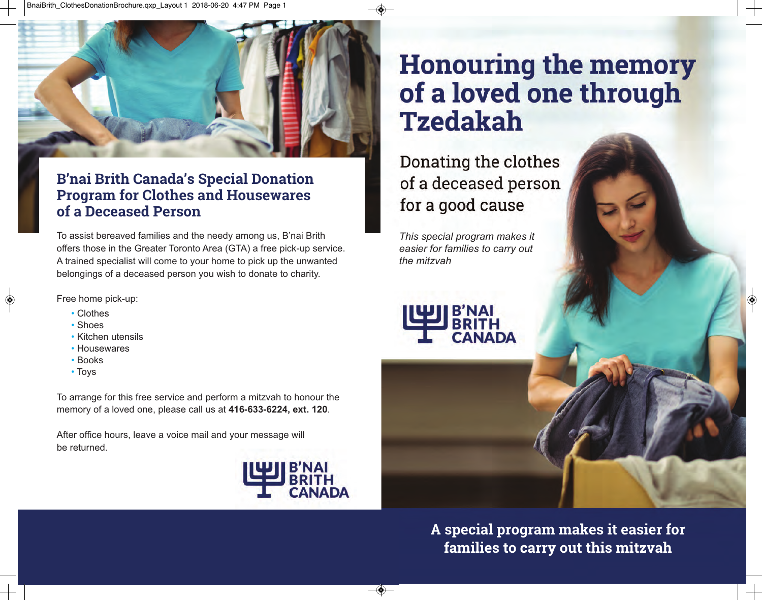

## **B'nai Brith Canada's Special Donation Program for Clothes and Housewares of a Deceased Person**

To assist bereaved families and the needy among us, B'nai Brith offers those in the Greater Toronto Area (GTA) a free pick-up service. A trained specialist will come to your home to pick up the unwanted belongings of a deceased person you wish to donate to charity.

Free home pick-up:

- Clothes
- Shoes
- Kitchen utensils
- Housewares
- Books
- Toys

To arrange for this free service and perform a mitzvah to honour the memory of a loved one, please call us at **416-633-6224, ext. 120**.

After office hours, leave a voice mail and your message will be returned.



# **Honouring the memory** of a loved one through **Tzedakah**

Donating the clothes of a deceased person for a good cause

*This special program makes it easier for families to carry out the mitzvah*



**A special program makes it easier for families to carry out this mitzvah**